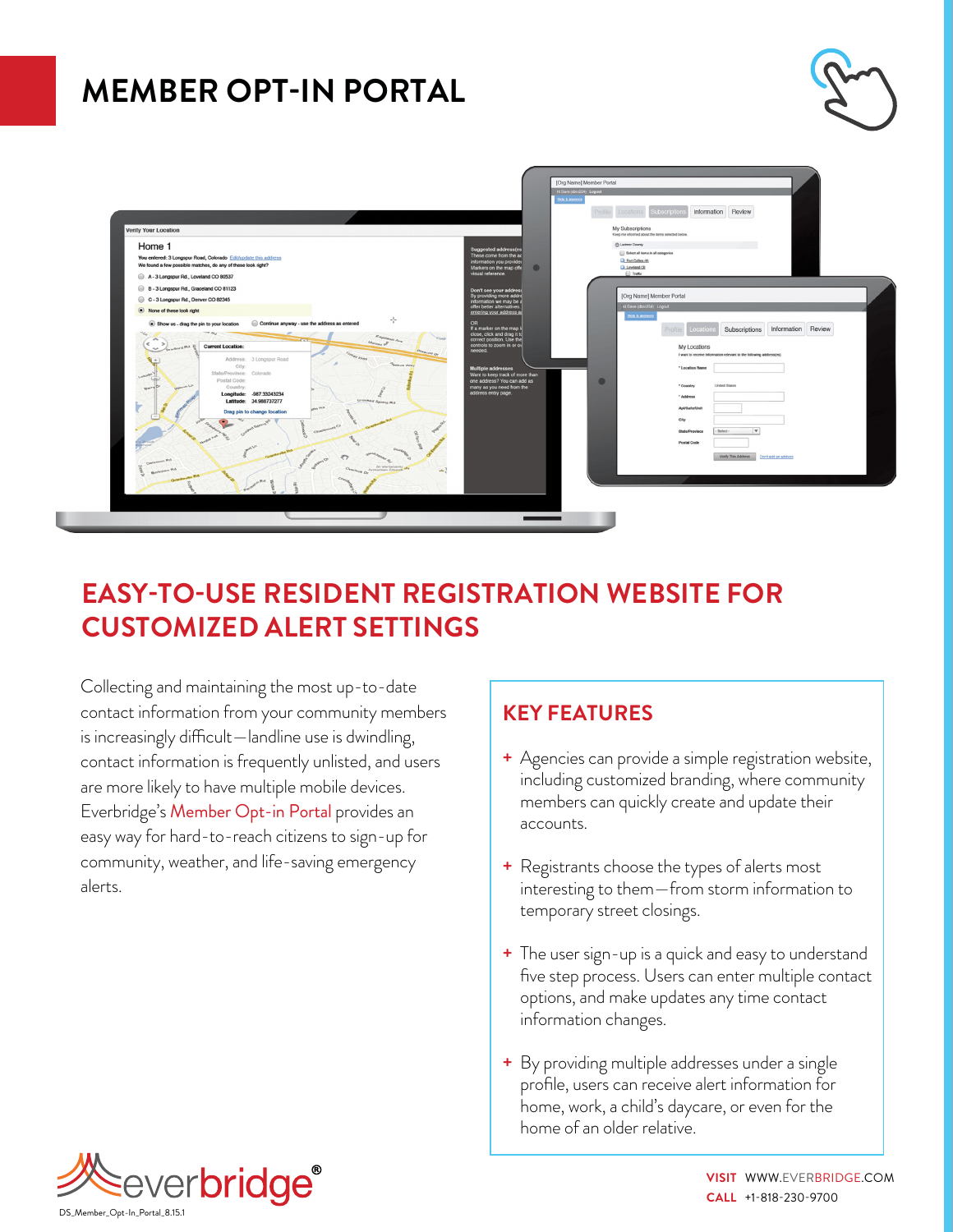# **MEMBER OPT-IN PORTAL**





### **EASY-TO-USE RESIDENT REGISTRATION WEBSITE FOR CUSTOMIZED ALERT SETTINGS**

Collecting and maintaining the most up-to-date contact information from your community members is increasingly difficult—landline use is dwindling, contact information is frequently unlisted, and users are more likely to have multiple mobile devices. Everbridge's Member Opt-in Portal provides an easy way for hard-to-reach citizens to sign-up for community, weather, and life-saving emergency alerts.

### **KEY FEATURES**

- **+** Agencies can provide a simple registration website, including customized branding, where community members can quickly create and update their accounts.
- **+** Registrants choose the types of alerts most interesting to them—from storm information to temporary street closings.
- **+** The user sign-up is a quick and easy to understand five step process. Users can enter multiple contact options, and make updates any time contact information changes.
- **+** By providing multiple addresses under a single profile, users can receive alert information for home, work, a child's daycare, or even for the home of an older relative.